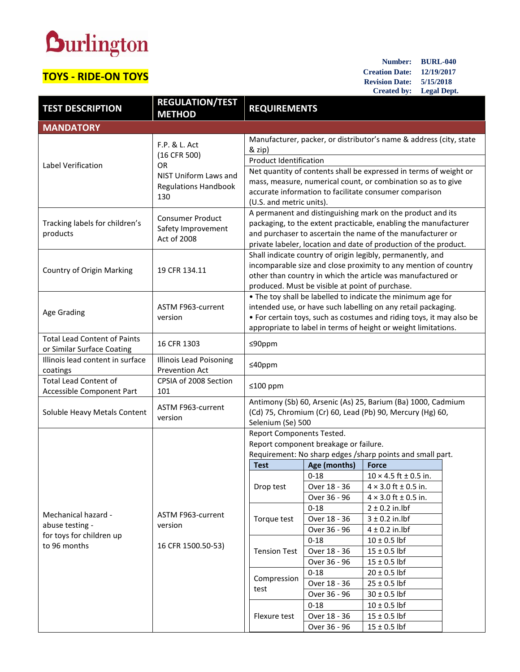## **Durlington**

## **TOYS - RIDE-ON TOYS**

**Number: BURL-040 Creation Date: 12/19/2017 Revision Date: 5/15/2018 Created by: Legal Dept.**

| <b>TEST DESCRIPTION</b>                                                            | <b>REGULATION/TEST</b><br><b>METHOD</b>                                  | <b>REQUIREMENTS</b>                                                                                                                                                                                                                                                    |                                          |                                                                                                |  |
|------------------------------------------------------------------------------------|--------------------------------------------------------------------------|------------------------------------------------------------------------------------------------------------------------------------------------------------------------------------------------------------------------------------------------------------------------|------------------------------------------|------------------------------------------------------------------------------------------------|--|
| <b>MANDATORY</b>                                                                   |                                                                          |                                                                                                                                                                                                                                                                        |                                          |                                                                                                |  |
|                                                                                    | F.P. & L. Act<br>(16 CFR 500)                                            | Manufacturer, packer, or distributor's name & address (city, state<br>& zip)<br><b>Product Identification</b>                                                                                                                                                          |                                          |                                                                                                |  |
| Label Verification                                                                 | <b>OR</b><br>NIST Uniform Laws and<br><b>Regulations Handbook</b><br>130 | Net quantity of contents shall be expressed in terms of weight or<br>mass, measure, numerical count, or combination so as to give<br>accurate information to facilitate consumer comparison<br>(U.S. and metric units).                                                |                                          |                                                                                                |  |
| Tracking labels for children's<br>products                                         | <b>Consumer Product</b><br>Safety Improvement<br>Act of 2008             | A permanent and distinguishing mark on the product and its<br>packaging, to the extent practicable, enabling the manufacturer<br>and purchaser to ascertain the name of the manufacturer or<br>private labeler, location and date of production of the product.        |                                          |                                                                                                |  |
| Country of Origin Marking                                                          | 19 CFR 134.11                                                            | Shall indicate country of origin legibly, permanently, and<br>incomparable size and close proximity to any mention of country<br>other than country in which the article was manufactured or<br>produced. Must be visible at point of purchase.                        |                                          |                                                                                                |  |
| Age Grading                                                                        | ASTM F963-current<br>version                                             | . The toy shall be labelled to indicate the minimum age for<br>intended use, or have such labelling on any retail packaging.<br>• For certain toys, such as costumes and riding toys, it may also be<br>appropriate to label in terms of height or weight limitations. |                                          |                                                                                                |  |
| <b>Total Lead Content of Paints</b><br>or Similar Surface Coating                  | 16 CFR 1303                                                              | ≤90ppm                                                                                                                                                                                                                                                                 |                                          |                                                                                                |  |
| Illinois lead content in surface<br>coatings                                       | <b>Illinois Lead Poisoning</b><br>Prevention Act                         | $≤40$ ppm                                                                                                                                                                                                                                                              |                                          |                                                                                                |  |
| <b>Total Lead Content of</b><br>Accessible Component Part                          | CPSIA of 2008 Section<br>101                                             | ≤100 ppm                                                                                                                                                                                                                                                               |                                          |                                                                                                |  |
| Soluble Heavy Metals Content                                                       | ASTM F963-current<br>version                                             | Antimony (Sb) 60, Arsenic (As) 25, Barium (Ba) 1000, Cadmium<br>(Cd) 75, Chromium (Cr) 60, Lead (Pb) 90, Mercury (Hg) 60,<br>Selenium (Se) 500                                                                                                                         |                                          |                                                                                                |  |
|                                                                                    | ASTM F963-current<br>version<br>16 CFR 1500.50-53)                       | Report Components Tested.<br>Report component breakage or failure.<br>Requirement: No sharp edges /sharp points and small part.                                                                                                                                        |                                          |                                                                                                |  |
|                                                                                    |                                                                          | <b>Test</b>                                                                                                                                                                                                                                                            | Age (months)                             | <b>Force</b>                                                                                   |  |
| Mechanical hazard -<br>abuse testing -<br>for toys for children up<br>to 96 months |                                                                          | Drop test                                                                                                                                                                                                                                                              | $0 - 18$<br>Over 18 - 36<br>Over 36 - 96 | $10 \times 4.5$ ft ± 0.5 in.<br>$4 \times 3.0$ ft $\pm 0.5$ in.<br>$4 \times 3.0$ ft ± 0.5 in. |  |
|                                                                                    |                                                                          | Torque test                                                                                                                                                                                                                                                            | $0 - 18$<br>Over 18 - 36<br>Over 36 - 96 | $2 \pm 0.2$ in.lbf<br>$3 \pm 0.2$ in.lbf<br>$4 \pm 0.2$ in.lbf                                 |  |
|                                                                                    |                                                                          | <b>Tension Test</b>                                                                                                                                                                                                                                                    | $0 - 18$<br>Over 18 - 36<br>Over 36 - 96 | $10 \pm 0.5$ lbf<br>$15 \pm 0.5$ lbf<br>$15 \pm 0.5$ lbf                                       |  |
|                                                                                    |                                                                          | Compression<br>test                                                                                                                                                                                                                                                    | $0 - 18$<br>Over 18 - 36<br>Over 36 - 96 | $20 \pm 0.5$ lbf<br>$25 \pm 0.5$ lbf<br>$30 \pm 0.5$ lbf                                       |  |
|                                                                                    |                                                                          | Flexure test                                                                                                                                                                                                                                                           | $0 - 18$<br>Over 18 - 36<br>Over 36 - 96 | $10 \pm 0.5$ lbf<br>$15 \pm 0.5$ lbf<br>$15 \pm 0.5$ lbf                                       |  |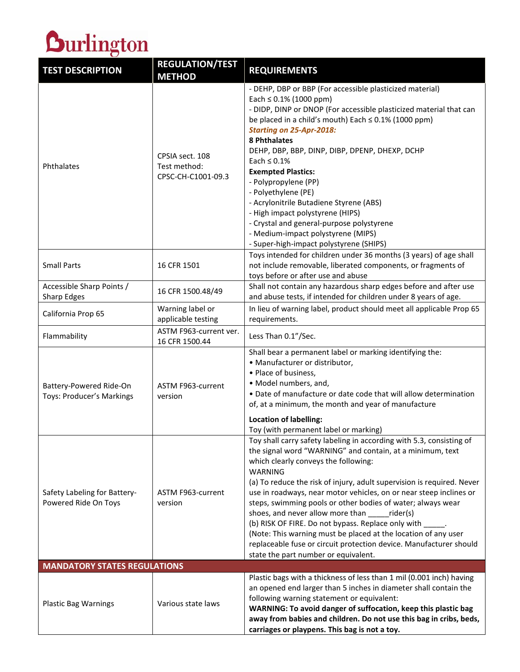

| <b>TEST DESCRIPTION</b>                              | <b>REGULATION/TEST</b><br><b>METHOD</b>               | <b>REQUIREMENTS</b>                                                                                                                                                                                                                                                                                                                                                                                                                                                                                                                                                                                                                                                                              |  |  |  |
|------------------------------------------------------|-------------------------------------------------------|--------------------------------------------------------------------------------------------------------------------------------------------------------------------------------------------------------------------------------------------------------------------------------------------------------------------------------------------------------------------------------------------------------------------------------------------------------------------------------------------------------------------------------------------------------------------------------------------------------------------------------------------------------------------------------------------------|--|--|--|
| Phthalates                                           | CPSIA sect. 108<br>Test method:<br>CPSC-CH-C1001-09.3 | - DEHP, DBP or BBP (For accessible plasticized material)<br>Each $\leq 0.1\%$ (1000 ppm)<br>- DIDP, DINP or DNOP (For accessible plasticized material that can<br>be placed in a child's mouth) Each $\leq$ 0.1% (1000 ppm)<br><b>Starting on 25-Apr-2018:</b><br>8 Phthalates<br>DEHP, DBP, BBP, DINP, DIBP, DPENP, DHEXP, DCHP<br>Each $\leq 0.1\%$<br><b>Exempted Plastics:</b><br>- Polypropylene (PP)<br>- Polyethylene (PE)<br>- Acrylonitrile Butadiene Styrene (ABS)<br>- High impact polystyrene (HIPS)<br>- Crystal and general-purpose polystyrene<br>- Medium-impact polystyrene (MIPS)<br>- Super-high-impact polystyrene (SHIPS)                                                   |  |  |  |
| <b>Small Parts</b>                                   | 16 CFR 1501                                           | Toys intended for children under 36 months (3 years) of age shall<br>not include removable, liberated components, or fragments of<br>toys before or after use and abuse                                                                                                                                                                                                                                                                                                                                                                                                                                                                                                                          |  |  |  |
| Accessible Sharp Points /<br><b>Sharp Edges</b>      | 16 CFR 1500.48/49                                     | Shall not contain any hazardous sharp edges before and after use<br>and abuse tests, if intended for children under 8 years of age.                                                                                                                                                                                                                                                                                                                                                                                                                                                                                                                                                              |  |  |  |
| California Prop 65                                   | Warning label or<br>applicable testing                | In lieu of warning label, product should meet all applicable Prop 65<br>requirements.                                                                                                                                                                                                                                                                                                                                                                                                                                                                                                                                                                                                            |  |  |  |
| Flammability                                         | ASTM F963-current ver.<br>16 CFR 1500.44              | Less Than 0.1"/Sec.                                                                                                                                                                                                                                                                                                                                                                                                                                                                                                                                                                                                                                                                              |  |  |  |
| Battery-Powered Ride-On<br>Toys: Producer's Markings | ASTM F963-current<br>version                          | Shall bear a permanent label or marking identifying the:<br>• Manufacturer or distributor,<br>• Place of business,<br>· Model numbers, and,<br>. Date of manufacture or date code that will allow determination<br>of, at a minimum, the month and year of manufacture<br><b>Location of labelling:</b><br>Toy (with permanent label or marking)                                                                                                                                                                                                                                                                                                                                                 |  |  |  |
| Safety Labeling for Battery-<br>Powered Ride On Toys | ASTM F963-current<br>version                          | Toy shall carry safety labeling in according with 5.3, consisting of<br>the signal word "WARNING" and contain, at a minimum, text<br>which clearly conveys the following:<br>WARNING<br>(a) To reduce the risk of injury, adult supervision is required. Never<br>use in roadways, near motor vehicles, on or near steep inclines or<br>steps, swimming pools or other bodies of water; always wear<br>shoes, and never allow more than<br>rider(s)<br>(b) RISK OF FIRE. Do not bypass. Replace only with _____.<br>(Note: This warning must be placed at the location of any user<br>replaceable fuse or circuit protection device. Manufacturer should<br>state the part number or equivalent. |  |  |  |
| <b>MANDATORY STATES REGULATIONS</b>                  |                                                       |                                                                                                                                                                                                                                                                                                                                                                                                                                                                                                                                                                                                                                                                                                  |  |  |  |
| <b>Plastic Bag Warnings</b>                          | Various state laws                                    | Plastic bags with a thickness of less than 1 mil (0.001 inch) having<br>an opened end larger than 5 inches in diameter shall contain the<br>following warning statement or equivalent:<br>WARNING: To avoid danger of suffocation, keep this plastic bag<br>away from babies and children. Do not use this bag in cribs, beds,<br>carriages or playpens. This bag is not a toy.                                                                                                                                                                                                                                                                                                                  |  |  |  |